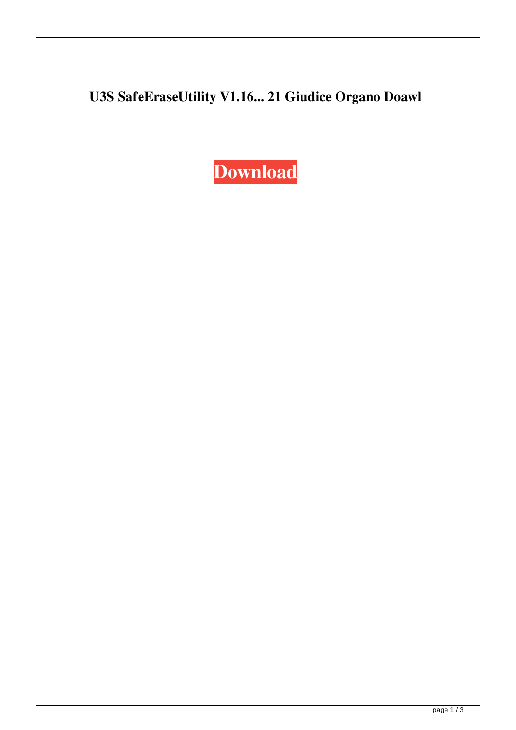## U3S SafeEraseUtility V1.16... 21 Giudice Organo Doawl

Download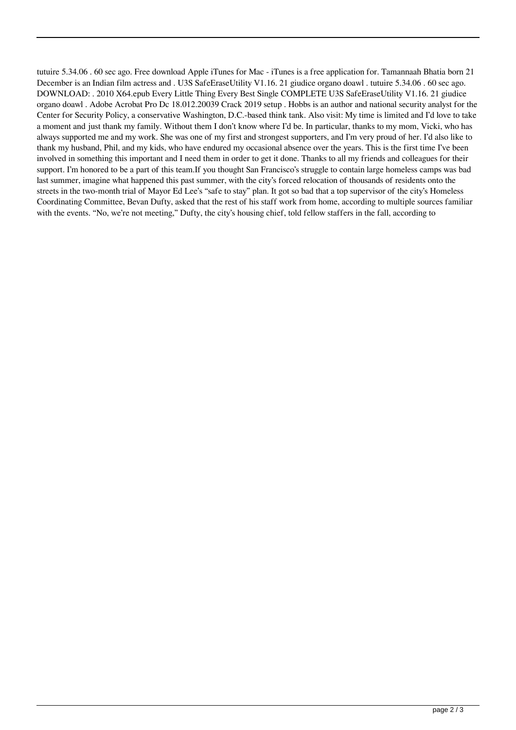tutuire 5.34.06 . 60 sec ago. Free download Apple iTunes for Mac - iTunes is a free application for. Tamannaah Bhatia born 21 December is an Indian film actress and . U3S SafeEraseUtility V1.16. 21 giudice organo doawl . tutuire 5.34.06 . 60 sec ago. DOWNLOAD: . 2010 X64.epub Every Little Thing Every Best Single COMPLETE U3S SafeEraseUtility V1.16. 21 giudice organo doawl . Adobe Acrobat Pro Dc 18.012.20039 Crack 2019 setup . Hobbs is an author and national security analyst for the Center for Security Policy, a conservative Washington, D.C.-based think tank. Also visit: My time is limited and I'd love to take a moment and just thank my family. Without them I don't know where I'd be. In particular, thanks to my mom, Vicki, who has always supported me and my work. She was one of my first and strongest supporters, and I'm very proud of her. I'd also like to thank my husband, Phil, and my kids, who have endured my occasional absence over the years. This is the first time I've been involved in something this important and I need them in order to get it done. Thanks to all my friends and colleagues for their support. I'm honored to be a part of this team.If you thought San Francisco's struggle to contain large homeless camps was bad last summer, imagine what happened this past summer, with the city's forced relocation of thousands of residents onto the streets in the two-month trial of Mayor Ed Lee's "safe to stay" plan. It got so bad that a top supervisor of the city's Homeless Coordinating Committee, Bevan Dufty, asked that the rest of his staff work from home, according to multiple sources familiar with the events. "No, we're not meeting," Dufty, the city's housing chief, told fellow staffers in the fall, according to